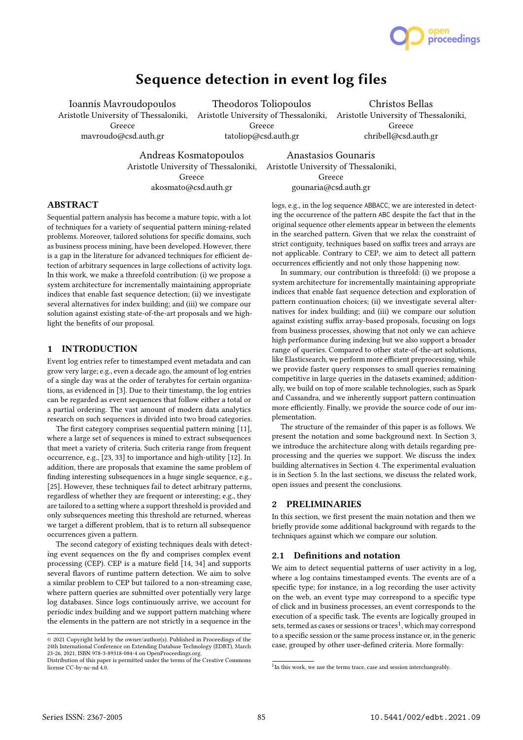

# Sequence detection in event log files

Ioannis Mavroudopoulos Aristotle University of Thessaloniki, Aristotle University of Thessaloniki, Aristotle University of Thessaloniki, Greece mavroudo@csd.auth.gr

Theodoros Toliopoulos Greece tatoliop@csd.auth.gr

Christos Bellas Greece chribell@csd.auth.gr

Andreas Kosmatopoulos

Aristotle University of Thessaloniki, Greece akosmato@csd.auth.gr

Anastasios Gounaris Aristotle University of Thessaloniki, Greece gounaria@csd.auth.gr

# ABSTRACT

Sequential pattern analysis has become a mature topic, with a lot of techniques for a variety of sequential pattern mining-related problems. Moreover, tailored solutions for specific domains, such as business process mining, have been developed. However, there is a gap in the literature for advanced techniques for efficient detection of arbitrary sequences in large collections of activity logs. In this work, we make a threefold contribution: (i) we propose a system architecture for incrementally maintaining appropriate indices that enable fast sequence detection; (ii) we investigate several alternatives for index building; and (iii) we compare our solution against existing state-of-the-art proposals and we highlight the benefits of our proposal.

### 1 INTRODUCTION

Event log entries refer to timestamped event metadata and can grow very large; e.g., even a decade ago, the amount of log entries of a single day was at the order of terabytes for certain organizations, as evidenced in [3]. Due to their timestamp, the log entries can be regarded as event sequences that follow either a total or a partial ordering. The vast amount of modern data analytics research on such sequences is divided into two broad categories.

The first category comprises sequential pattern mining [11], where a large set of sequences is mined to extract subsequences that meet a variety of criteria. Such criteria range from frequent occurrence, e.g., [23, 33] to importance and high-utility [12]. In addition, there are proposals that examine the same problem of finding interesting subsequences in a huge single sequence, e.g., [25]. However, these techniques fail to detect arbitrary patterns, regardless of whether they are frequent or interesting; e.g., they are tailored to a setting where a support threshold is provided and only subsequences meeting this threshold are returned, whereas we target a different problem, that is to return all subsequence occurrences given a pattern.

The second category of existing techniques deals with detecting event sequences on the fly and comprises complex event processing (CEP). CEP is a mature field [14, 34] and supports several flavors of runtime pattern detection. We aim to solve a similar problem to CEP but tailored to a non-streaming case, where pattern queries are submitted over potentially very large log databases. Since logs continuously arrive, we account for periodic index building and we support pattern matching where the elements in the pattern are not strictly in a sequence in the

logs, e.g., in the log sequence ABBACC, we are interested in detecting the occurrence of the pattern ABC despite the fact that in the original sequence other elements appear in between the elements in the searched pattern. Given that we relax the constraint of strict contiguity, techniques based on suffix trees and arrays are not applicable. Contrary to CEP, we aim to detect all pattern occurrences efficiently and not only those happening now.

In summary, our contribution is threefold: (i) we propose a system architecture for incrementally maintaining appropriate indices that enable fast sequence detection and exploration of pattern continuation choices; (ii) we investigate several alternatives for index building; and (iii) we compare our solution against existing suffix array-based proposals, focusing on logs from business processes, showing that not only we can achieve high performance during indexing but we also support a broader range of queries. Compared to other state-of-the-art solutions, like Elasticsearch, we perform more efficient preprocessing, while we provide faster query responses to small queries remaining competitive in large queries in the datasets examined; additionally, we build on top of more scalable technologies, such as Spark and Cassandra, and we inherently support pattern continuation more efficiently. Finally, we provide the source code of our implementation.

The structure of the remainder of this paper is as follows. We present the notation and some background next. In Section 3, we introduce the architecture along with details regarding preprocessing and the queries we support. We discuss the index building alternatives in Section 4. The experimental evaluation is in Section 5. In the last sections, we discuss the related work, open issues and present the conclusions.

# 2 PRELIMINARIES

In this section, we first present the main notation and then we briefly provide some additional background with regards to the techniques against which we compare our solution.

# 2.1 Definitions and notation

We aim to detect sequential patterns of user activity in a log, where a log contains timestamped events. The events are of a specific type; for instance, in a log recording the user activity on the web, an event type may correspond to a specific type of click and in business processes, an event corresponds to the execution of a specific task. The events are logically grouped in sets, termed as cases or sessions or traces<sup>1</sup>, which may correspond to a specific session or the same process instance or, in the generic case, grouped by other user-defined criteria. More formally:

<sup>©</sup> 2021 Copyright held by the owner/author(s). Published in Proceedings of the 24th International Conference on Extending Database Technology (EDBT), March 23-26, 2021, ISBN 978-3-89318-084-4 on OpenProceedings.org.

Distribution of this paper is permitted under the terms of the Creative Commons license CC-by-nc-nd 4.0.

<sup>&</sup>lt;sup>1</sup>In this work, we use the terms trace, case and session interchangeably.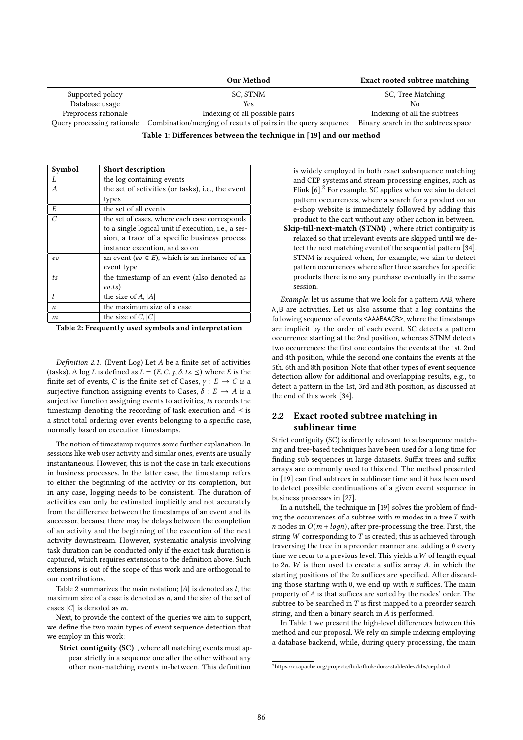|                      | Our Method                                                                               | <b>Exact rooted subtree matching</b> |
|----------------------|------------------------------------------------------------------------------------------|--------------------------------------|
| Supported policy     | SC, STNM                                                                                 | SC, Tree Matching                    |
| Database usage       | Yes                                                                                      | No.                                  |
| Preprocess rationale | Indexing of all possible pairs                                                           | Indexing of all the subtrees         |
|                      | Query processing rationale Combination/merging of results of pairs in the query sequence | Binary search in the subtrees space  |

Table 1: Differences between the technique in [19] and our method

| Symbol         | <b>Short description</b>                                    |
|----------------|-------------------------------------------------------------|
| L              | the log containing events                                   |
| $\overline{A}$ | the set of activities (or tasks), i.e., the event           |
|                | types                                                       |
| E              | the set of all events                                       |
| $\overline{C}$ | the set of cases, where each case corresponds               |
|                | to a single logical unit if execution, <i>i.e.</i> , a ses- |
|                | sion, a trace of a specific business process                |
|                | instance execution, and so on                               |
| ev             | an event (ev $\in$ E), which is an instance of an           |
|                | event type                                                  |
| t.s            | the timestamp of an event (also denoted as                  |
|                | ev.ts)                                                      |
|                | the size of $A$ , $ A $                                     |
| n              | the maximum size of a case                                  |
| m              | the size of C, $ C $                                        |

Table 2: Frequently used symbols and interpretation

Definition 2.1. (Event Log) Let  $A$  be a finite set of activities (tasks). A log *L* is defined as  $L = (E, C, \gamma, \delta, ts, \leq)$  where *E* is the finite set of events, C is the finite set of Cases,  $\gamma : E \to C$  is a surjective function assigning events to Cases,  $\delta : E \to A$  is a surjective function assigning events to activities, *ts* records the timestamp denoting the recording of task execution and  $\leq$  is a strict total ordering over events belonging to a specific case, normally based on execution timestamps.

The notion of timestamp requires some further explanation. In sessions like web user activity and similar ones, events are usually instantaneous. However, this is not the case in task executions in business processes. In the latter case, the timestamp refers to either the beginning of the activity or its completion, but in any case, logging needs to be consistent. The duration of activities can only be estimated implicitly and not accurately from the difference between the timestamps of an event and its successor, because there may be delays between the completion of an activity and the beginning of the execution of the next activity downstream. However, systematic analysis involving task duration can be conducted only if the exact task duration is captured, which requires extensions to the definition above. Such extensions is out of the scope of this work and are orthogonal to our contributions.

Table 2 summarizes the main notation;  $|A|$  is denoted as  $l$ , the maximum size of a case is denoted as  $n$ , and the size of the set of cases  $|C|$  is denoted as  $m$ .

Next, to provide the context of the queries we aim to support, we define the two main types of event sequence detection that we employ in this work:

Strict contiguity (SC), where all matching events must appear strictly in a sequence one after the other without any other non-matching events in-between. This definition

is widely employed in both exact subsequence matching and CEP systems and stream processing engines, such as Flink  $[6]$ <sup>2</sup>. For example, SC applies when we aim to detect pattern occurrences, where a search for a product on an e-shop website is immediately followed by adding this product to the cart without any other action in between. Skip-till-next-match (STNM) , where strict contiguity is

relaxed so that irrelevant events are skipped until we detect the next matching event of the sequential pattern [34]. STNM is required when, for example, we aim to detect pattern occurrences where after three searches for specific products there is no any purchase eventually in the same session.

Example: let us assume that we look for a pattern AAB, where A,B are activities. Let us also assume that a log contains the following sequence of events <AAABAACB>, where the timestamps are implicit by the order of each event. SC detects a pattern occurrence starting at the 2nd position, whereas STNM detects two occurrences; the first one contains the events at the 1st, 2nd and 4th position, while the second one contains the events at the 5th, 6th and 8th position. Note that other types of event sequence detection allow for additional and overlapping results, e.g., to detect a pattern in the 1st, 3rd and 8th position, as discussed at the end of this work [34].

### 2.2 Exact rooted subtree matching in sublinear time

Strict contiguity (SC) is directly relevant to subsequence matching and tree-based techniques have been used for a long time for finding sub sequences in large datasets. Suffix trees and suffix arrays are commonly used to this end. The method presented in [19] can find subtrees in sublinear time and it has been used to detect possible continuations of a given event sequence in business processes in [27].

In a nutshell, the technique in [19] solves the problem of finding the occurrences of a subtree with  $m$  modes in a tree  $T$  with *n* nodes in  $O(m + log n)$ , after pre-processing the tree. First, the string  $W$  corresponding to  $T$  is created; this is achieved through traversing the tree in a preorder manner and adding a 0 every time we recur to a previous level. This yields a  $W$  of length equal to  $2n$ . W is then used to create a suffix array A, in which the starting positions of the  $2n$  suffices are specified. After discarding those starting with 0, we end up with  $n$  suffices. The main property of A is that suffices are sorted by the nodes' order. The subtree to be searched in  $T$  is first mapped to a preorder search string, and then a binary search in  $A$  is performed.

In Table 1 we present the high-level differences between this method and our proposal. We rely on simple indexing employing a database backend, while, during query processing, the main

<sup>2</sup>https://ci.apache.org/projects/flink/flink-docs-stable/dev/libs/cep.html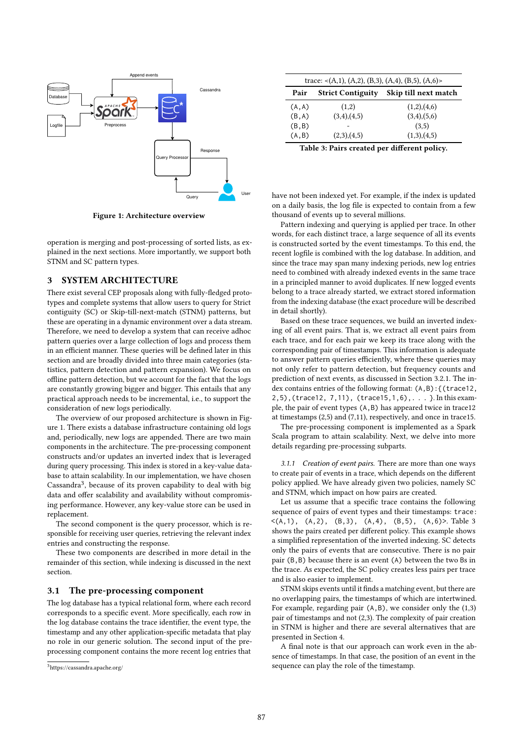

Figure 1: Architecture overview

operation is merging and post-processing of sorted lists, as explained in the next sections. More importantly, we support both STNM and SC pattern types.

### 3 SYSTEM ARCHITECTURE

There exist several CEP proposals along with fully-fledged prototypes and complete systems that allow users to query for Strict contiguity (SC) or Skip-till-next-match (STNM) patterns, but these are operating in a dynamic environment over a data stream. Therefore, we need to develop a system that can receive adhoc pattern queries over a large collection of logs and process them in an efficient manner. These queries will be defined later in this section and are broadly divided into three main categories (statistics, pattern detection and pattern expansion). We focus on offline pattern detection, but we account for the fact that the logs are constantly growing bigger and bigger. This entails that any practical approach needs to be incremental, i.e., to support the consideration of new logs periodically.

The overview of our proposed architecture is shown in Figure 1. There exists a database infrastructure containing old logs and, periodically, new logs are appended. There are two main components in the architecture. The pre-processing component constructs and/or updates an inverted index that is leveraged during query processing. This index is stored in a key-value database to attain scalability. In our implementation, we have chosen Cassandra<sup>3</sup>, because of its proven capability to deal with big data and offer scalability and availability without compromising performance. However, any key-value store can be used in replacement.

The second component is the query processor, which is responsible for receiving user queries, retrieving the relevant index entries and constructing the response.

These two components are described in more detail in the remainder of this section, while indexing is discussed in the next section.

### 3.1 The pre-processing component

The log database has a typical relational form, where each record corresponds to a specific event. More specifically, each row in the log database contains the trace identifier, the event type, the timestamp and any other application-specific metadata that play no role in our generic solution. The second input of the preprocessing component contains the more recent log entries that

| Pair   | <b>Strict Contiguity</b> | Skip till next match |
|--------|--------------------------|----------------------|
| (A, A) | (1,2)                    | (1,2),(4,6)          |
| (B, A) | (3,4),(4,5)              | $(3,4)$ , $(5,6)$    |
| (B, B) |                          | (3,5)                |
| (A, B) | (2,3),(4,5)              | (1,3),(4,5)          |

have not been indexed yet. For example, if the index is updated on a daily basis, the log file is expected to contain from a few thousand of events up to several millions.

Pattern indexing and querying is applied per trace. In other words, for each distinct trace, a large sequence of all its events is constructed sorted by the event timestamps. To this end, the recent logfile is combined with the log database. In addition, and since the trace may span many indexing periods, new log entries need to combined with already indexed events in the same trace in a principled manner to avoid duplicates. If new logged events belong to a trace already started, we extract stored information from the indexing database (the exact procedure will be described in detail shortly).

Based on these trace sequences, we build an inverted indexing of all event pairs. That is, we extract all event pairs from each trace, and for each pair we keep its trace along with the corresponding pair of timestamps. This information is adequate to answer pattern queries efficiently, where these queries may not only refer to pattern detection, but frequency counts and prediction of next events, as discussed in Section 3.2.1. The index contains entries of the following format: (A,B):{(trace12, 2,5),(trace12, 7,11), (trace15,1,6),. . . }. In this example, the pair of event types (A,B) has appeared twice in trace12 at timestamps (2,5) and (7,11), respectively, and once in trace15.

The pre-processing component is implemented as a Spark Scala program to attain scalability. Next, we delve into more details regarding pre-processing subparts.

3.1.1 Creation of event pairs. There are more than one ways to create pair of events in a trace, which depends on the different policy applied. We have already given two policies, namely SC and STNM, which impact on how pairs are created.

Let us assume that a specific trace contains the following sequence of pairs of event types and their timestamps: trace:  $\langle (A,1), (A,2), (B,3), (A,4), (B,5), (A,6)\rangle$ . Table 3 shows the pairs created per different policy. This example shows a simplified representation of the inverted indexing. SC detects only the pairs of events that are consecutive. There is no pair pair (B,B) because there is an event (A) between the two Bs in the trace. As expected, the SC policy creates less pairs per trace and is also easier to implement.

STNM skips events until it finds a matching event, but there are no overlapping pairs, the timestamps of which are intertwined. For example, regarding pair (A,B), we consider only the (1,3) pair of timestamps and not (2,3). The complexity of pair creation in STNM is higher and there are several alternatives that are presented in Section 4.

A final note is that our approach can work even in the absence of timestamps. In that case, the position of an event in the sequence can play the role of the timestamp.

<sup>3</sup>https://cassandra.apache.org/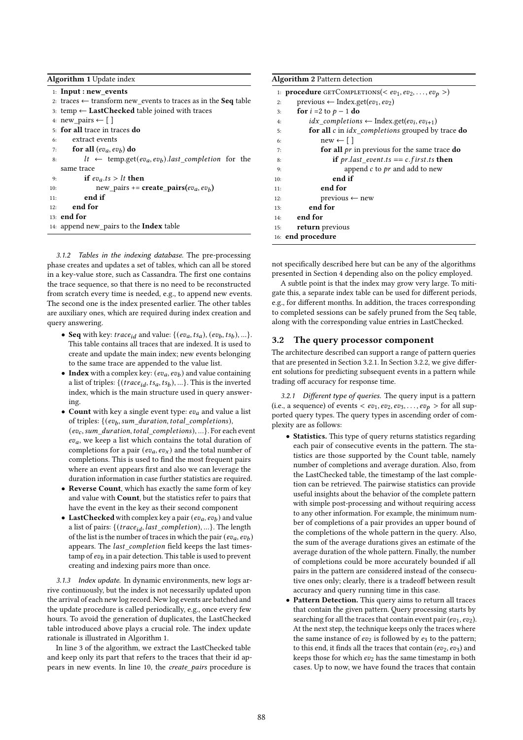Algorithm 1 Update index

1: Input : new\_events 2: traces  $\leftarrow$  transform new\_events to traces as in the **Seq** table 3: temp ← LastChecked table joined with traces 4: new pairs ← [ ] 5: for all trace in traces do 6: extract events 7: for all  $(ev_a, ev_b)$  do 8:  $lt \leftarrow \text{temp.get}(ev_a, ev_b).last\_completion$  for the same trace 9: if  $ev_a.ts > lt$  then 10: new\_pairs += create\_pairs( $ev_a, ev_b$ )  $11:$  end if 12: end for 13: end for 14: append new\_pairs to the Index table

3.1.2 Tables in the indexing database. The pre-processing phase creates and updates a set of tables, which can all be stored in a key-value store, such as Cassandra. The first one contains the trace sequence, so that there is no need to be reconstructed from scratch every time is needed, e.g., to append new events. The second one is the index presented earlier. The other tables are auxiliary ones, which are required during index creation and query answering.

- Seq with key: *trace<sub>id</sub>* and value: { $(ev_a, ts_a)$ ,  $(ev_b, ts_b)$ , ...}. This table contains all traces that are indexed. It is used to create and update the main index; new events belonging to the same trace are appended to the value list.
- Index with a complex key:  $(ev_a, ev_b)$  and value containing a list of triples:  $\{(trace_{id}, ts_a, ts_b), ...\}$ . This is the inverted index, which is the main structure used in query answering.
- Count with key a single event type:  $ev_a$  and value a list of triples:  $\{ (ev_b, sum\_duration, total\_completions),$  $(ev_c, sum\_duration, total\_completions), ...$ . For each event  $ev_a$ , we keep a list which contains the total duration of completions for a pair  $(ev_a, ev_x)$  and the total number of completions. This is used to find the most frequent pairs where an event appears first and also we can leverage the duration information in case further statistics are required.
- Reverse Count, which has exactly the same form of key and value with Count, but the statistics refer to pairs that have the event in the key as their second component
- LastChecked with complex key a pair  $(ev_a, ev_b)$  and value a list of pairs:  $\{(trace_{id}, last\_completion), ...\}$ . The length of the list is the number of traces in which the pair  $(ev_a, ev_b)$ appears. The last\_completion field keeps the last times- $\tan p$  of  $ev_b$  in a pair detection. This table is used to prevent creating and indexing pairs more than once.

3.1.3 Index update. In dynamic environments, new logs arrive continuously, but the index is not necessarily updated upon the arrival of each new log record. New log events are batched and the update procedure is called periodically, e.g., once every few hours. To avoid the generation of duplicates, the LastChecked table introduced above plays a crucial role. The index update rationale is illustrated in Algorithm 1.

In line 3 of the algorithm, we extract the LastChecked table and keep only its part that refers to the traces that their id appears in new events. In line 10, the create\_pairs procedure is

| <b>Algorithm 2 Pattern detection</b>                                                 |  |  |  |  |
|--------------------------------------------------------------------------------------|--|--|--|--|
| 1: <b>procedure</b> GETCOMPLETIONS(< $ev_1, ev_2, , ev_p$ >)                         |  |  |  |  |
| previous $\leftarrow$ Index.get(ev <sub>1</sub> , ev <sub>2</sub> )<br>2:            |  |  |  |  |
| for $i = 2$ to $p - 1$ do<br>3:                                                      |  |  |  |  |
| $idx$ completions $\leftarrow$ Index.get(ev <sub>i</sub> , ev <sub>i+1</sub> )<br>4: |  |  |  |  |
| for all $c$ in $idx\_completions$ grouped by trace do<br>5:                          |  |  |  |  |
| $new \leftarrow \Box$<br>6:                                                          |  |  |  |  |
| for all $pr$ in previous for the same trace do<br>7:                                 |  |  |  |  |
| if pr.last event.ts == c.first.ts then<br>8:                                         |  |  |  |  |
| append $c$ to $pr$ and add to new<br>9:                                              |  |  |  |  |
| end if<br>10:                                                                        |  |  |  |  |
| end for<br>11:                                                                       |  |  |  |  |
| $previous \leftarrow new$<br>12:                                                     |  |  |  |  |
| end for<br>13:                                                                       |  |  |  |  |
| end for<br>14:                                                                       |  |  |  |  |
| return previous<br>15:                                                               |  |  |  |  |
| 16: end procedure                                                                    |  |  |  |  |

not specifically described here but can be any of the algorithms presented in Section 4 depending also on the policy employed.

A subtle point is that the index may grow very large. To mitigate this, a separate index table can be used for different periods, e.g., for different months. In addition, the traces corresponding to completed sessions can be safely pruned from the Seq table, along with the corresponding value entries in LastChecked.

## 3.2 The query processor component

The architecture described can support a range of pattern queries that are presented in Section 3.2.1. In Section 3.2.2, we give different solutions for predicting subsequent events in a pattern while trading off accuracy for response time.

3.2.1 Different type of queries. The query input is a pattern (i.e., a sequence) of events  $\langle ev_1, ev_2, ev_3, \ldots, ev_p \rangle$  for all supported query types. The query types in ascending order of complexity are as follows:

- Statistics. This type of query returns statistics regarding each pair of consecutive events in the pattern. The statistics are those supported by the Count table, namely number of completions and average duration. Also, from the LastChecked table, the timestamp of the last completion can be retrieved. The pairwise statistics can provide useful insights about the behavior of the complete pattern with simple post-processing and without requiring access to any other information. For example, the minimum number of completions of a pair provides an upper bound of the completions of the whole pattern in the query. Also, the sum of the average durations gives an estimate of the average duration of the whole pattern. Finally, the number of completions could be more accurately bounded if all pairs in the pattern are considered instead of the consecutive ones only; clearly, there is a tradeoff between result accuracy and query running time in this case.
- Pattern Detection. This query aims to return all traces that contain the given pattern. Query processing starts by searching for all the traces that contain event pair ( $ev_1, ev_2$ ). At the next step, the technique keeps only the traces where the same instance of  $ev_2$  is followed by  $e_3$  to the pattern; to this end, it finds all the traces that contain ( $ev_2$ ,  $ev_3$ ) and keeps those for which  $ev_2$  has the same timestamp in both cases. Up to now, we have found the traces that contain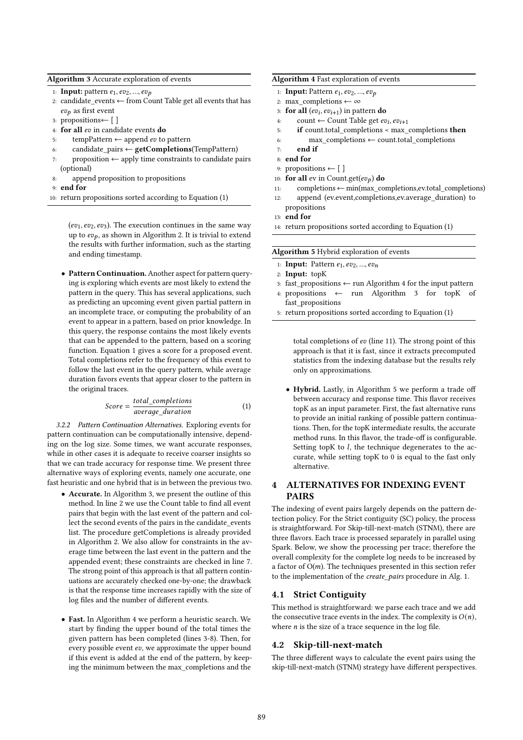#### Algorithm 3 Accurate exploration of events

- 1: **Input:** pattern  $e_1, ev_2, ..., ev_p$
- 2: candidate\_events  $\leftarrow$  from Count Table get all events that has  $ev_p$  as first event
- 3: propositions← [ ]
- 4: for all ev in candidate events do
- 5: tempPattern  $\leftarrow$  append ev to pattern
- 6: candidate\_pairs ← getCompletions(TempPattern)
- 7: proposition  $\leftarrow$  apply time constraints to candidate pairs (optional)
- 8: append proposition to propositions
- 9: end for
- 10: return propositions sorted according to Equation (1)

( $ev_1, ev_2, ev_3$ ). The execution continues in the same way up to  $ev_p$ , as shown in Algorithm 2. It is trivial to extend the results with further information, such as the starting and ending timestamp.

• Pattern Continuation.Another aspect for pattern querying is exploring which events are most likely to extend the pattern in the query. This has several applications, such as predicting an upcoming event given partial pattern in an incomplete trace, or computing the probability of an event to appear in a pattern, based on prior knowledge. In this query, the response contains the most likely events that can be appended to the pattern, based on a scoring function. Equation 1 gives a score for a proposed event. Total completions refer to the frequency of this event to follow the last event in the query pattern, while average duration favors events that appear closer to the pattern in the original traces.

$$
Score = \frac{total\_completions}{average\_duration}
$$
 (1)

3.2.2 Pattern Continuation Alternatives. Exploring events for pattern continuation can be computationally intensive, depending on the log size. Some times, we want accurate responses, while in other cases it is adequate to receive coarser insights so that we can trade accuracy for response time. We present three alternative ways of exploring events, namely one accurate, one fast heuristic and one hybrid that is in between the previous two.

- Accurate. In Algorithm 3, we present the outline of this method. In line 2 we use the Count table to find all event pairs that begin with the last event of the pattern and collect the second events of the pairs in the candidate events list. The procedure getCompletions is already provided in Algorithm 2. We also allow for constraints in the average time between the last event in the pattern and the appended event; these constraints are checked in line 7. The strong point of this approach is that all pattern continuations are accurately checked one-by-one; the drawback is that the response time increases rapidly with the size of log files and the number of different events.
- Fast. In Algorithm 4 we perform a heuristic search. We start by finding the upper bound of the total times the given pattern has been completed (lines 3-8). Then, for every possible event  $ev$ , we approximate the upper bound if this event is added at the end of the pattern, by keeping the minimum between the max\_completions and the

#### Algorithm 4 Fast exploration of events

- 1: Input: Pattern  $e_1, ev_2, ..., ev_p$
- 2: max completions ← ∞
- 3: for all  $(ev_i, ev_{i+1})$  in pattern do
- 4: count ← Count Table get  $ev_i, ev_{i+1}$
- 5: if count.total\_completions < max\_completions then
- 6: max\_completions ← count.total\_completions
- 7: end if
- 8: end for
- 9: propositions  $\leftarrow [$ ]
- 10: for all ev in Count.get( $ev_p$ ) do
- 11: completions←min(max\_completions,ev.total\_completions)
- 12: append (ev.event,completions,ev.average\_duration) to propositions
- 13: end for
- 14: return propositions sorted according to Equation (1)

Algorithm 5 Hybrid exploration of events

- 1: Input: Pattern  $e_1, ev_2, ..., ev_n$
- 2: Input: topK
- 3: fast\_propositions ← run Algorithm 4 for the input pattern
- 4: propositions ← run Algorithm 3 for topK of fast\_propositions
- 5: return propositions sorted according to Equation (1)

total completions of  $ev$  (line 11). The strong point of this approach is that it is fast, since it extracts precomputed statistics from the indexing database but the results rely only on approximations.

• Hybrid. Lastly, in Algorithm 5 we perform a trade off between accuracy and response time. This flavor receives topK as an input parameter. First, the fast alternative runs to provide an initial ranking of possible pattern continuations. Then, for the topK intermediate results, the accurate method runs. In this flavor, the trade-off is configurable. Setting topK to  $l$ , the technique degenerates to the accurate, while setting topK to 0 is equal to the fast only alternative.

# 4 ALTERNATIVES FOR INDEXING EVENT PAIRS

The indexing of event pairs largely depends on the pattern detection policy. For the Strict contiguity (SC) policy, the process is straightforward. For Skip-till-next-match (STNM), there are three flavors. Each trace is processed separately in parallel using Spark. Below, we show the processing per trace; therefore the overall complexity for the complete log needs to be increased by a factor of  $O(m)$ . The techniques presented in this section refer to the implementation of the create\_pairs procedure in Alg. 1.

### 4.1 Strict Contiguity

This method is straightforward: we parse each trace and we add the consecutive trace events in the index. The complexity is  $O(n)$ , where  $n$  is the size of a trace sequence in the log file.

#### 4.2 Skip-till-next-match

The three different ways to calculate the event pairs using the skip-till-next-match (STNM) strategy have different perspectives.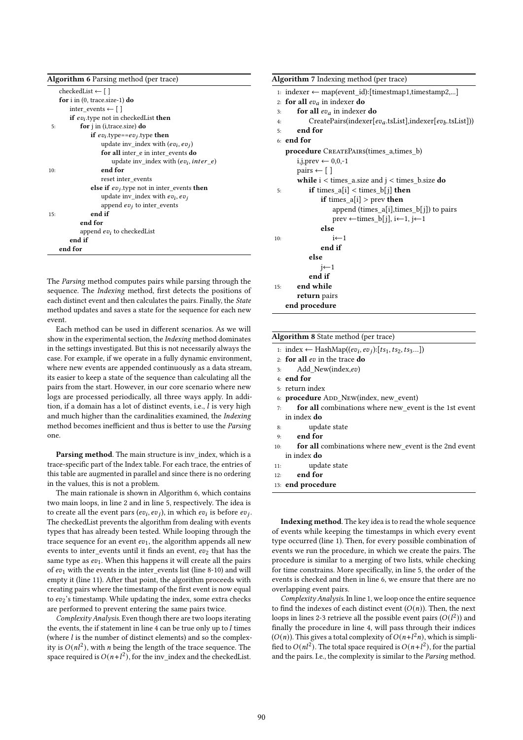| <b>Algorithm 6</b> Parsing method (per trace)                |
|--------------------------------------------------------------|
| $checkedList \leftarrow \lceil \rceil$                       |
| for $i$ in (0, trace.size-1) do                              |
| inter events $\leftarrow \lceil \cdot \rceil$                |
| <b>if</b> $ev_i$ type not in checked List <b>then</b>        |
| for <i>j</i> in ( <i>i</i> ,trace.size) do<br>5:             |
| if $ev_i$ type== $ev_i$ type then                            |
| update inv_index with $(ev_i, ev_j)$                         |
| for all inter e in inter events do                           |
| update inv index with $(ev_i, inter e)$                      |
| end for<br>10:                                               |
| reset inter_events                                           |
| <b>else if</b> $ev_i$ , type not in inter_events <b>then</b> |
| update inv_index with $ev_i$ , $ev_j$                        |
| append $ev_i$ to inter_events                                |
| end if<br>15:                                                |
| end for                                                      |
| append $ev_i$ to checked List                                |
| end if                                                       |
| end for                                                      |

The Parsing method computes pairs while parsing through the sequence. The Indexing method, first detects the positions of each distinct event and then calculates the pairs. Finally, the State method updates and saves a state for the sequence for each new event.

Each method can be used in different scenarios. As we will show in the experimental section, the Indexing method dominates in the settings investigated. But this is not necessarily always the case. For example, if we operate in a fully dynamic environment, where new events are appended continuously as a data stream, its easier to keep a state of the sequence than calculating all the pairs from the start. However, in our core scenario where new logs are processed periodically, all three ways apply. In addition, if a domain has a lot of distinct events, i.e.,  $l$  is very high and much higher than the cardinalities examined, the Indexing method becomes inefficient and thus is better to use the Parsing one.

Parsing method. The main structure is inv\_index, which is a trace-specific part of the Index table. For each trace, the entries of this table are augmented in parallel and since there is no ordering in the values, this is not a problem.

The main rationale is shown in Algorithm 6, which contains two main loops, in line 2 and in line 5, respectively. The idea is to create all the event pars (ev<sub>i</sub>, ev<sub>i</sub>), in which ev<sub>i</sub> is before ev<sub>i</sub>. The checkedList prevents the algorithm from dealing with events types that has already been tested. While looping through the trace sequence for an event  $ev_1$ , the algorithm appends all new events to inter\_events until it finds an event, ev2 that has the same type as  $ev_1$ . When this happens it will create all the pairs of  $ev_1$  with the events in the inter\_events list (line 8-10) and will empty it (line 11). After that point, the algorithm proceeds with creating pairs where the timestamp of the first event is now equal to  $ev_2$ 's timestamp. While updating the index, some extra checks are performed to prevent entering the same pairs twice.

Complexity Analysis. Even though there are two loops iterating the events, the if statement in line 4 can be true only up to  $l$  times (where  $l$  is the number of distinct elements) and so the complexity is  $O(nl^2)$ , with *n* being the length of the trace sequence. The space required is  $O(n+1^2)$ , for the inv\_index and the checkedList.

| <b>Algorithm 7</b> Indexing method (per trace)                    |
|-------------------------------------------------------------------|
| 1: indexer ← map(event_id): [timestmap1, timestamp2,]             |
| 2: for all $ev_a$ in indexer do                                   |
| for all $ev_a$ in indexer do<br>3:                                |
| $CreatePairs (indexer[ev_a.tsList], indexer[ev_b.tsList]))$<br>4: |
| end for<br>5:                                                     |
| $6:$ end for                                                      |
| <b>procedure</b> CREATEPAIRS(times_a,times_b)                     |
| i, j, prev $\leftarrow 0, 0, -1$                                  |
| pairs $\leftarrow \lceil \cdot \rceil$                            |
| <b>while</b> $i <$ times_a.size and $j <$ times_b.size <b>do</b>  |
| if times $a[i] <$ times $b[i]$ then<br>5:                         |
| <b>if</b> times $a[i] > prev$ then                                |
| append (times_a[i], times_b[j]) to pairs                          |
| prev ← times_b[j], i←1, j←1                                       |
| else                                                              |
| $i \leftarrow 1$<br>10:                                           |
| end if                                                            |
| else                                                              |
| $i \leftarrow 1$                                                  |
| end if                                                            |
| end while<br>15:                                                  |
| return pairs                                                      |
| end procedure                                                     |

#### Algorithm 8 State method (per trace)

|     | 1: index $\leftarrow$ HashMap( $(ev_i, ev_j): [ts_1, ts_2, ts_3]$ ) |
|-----|---------------------------------------------------------------------|
|     | 2: for all $ev$ in the trace do                                     |
|     | Add New(index,ev)<br>3:                                             |
|     | $4:$ end for                                                        |
|     | 5: return index                                                     |
|     | 6: <b>procedure</b> ADD New(index, new event)                       |
| 7:  | for all combinations where new_event is the 1st event               |
|     | in index <b>do</b>                                                  |
| 8:  | update state                                                        |
| 9:  | end for                                                             |
| 10: | for all combinations where new_event is the 2nd event               |
|     | in index <b>do</b>                                                  |
|     |                                                                     |

- 11: update state
- 12: end for
- 13: end procedure

Indexing method. The key idea is to read the whole sequence of events while keeping the timestamps in which every event type occurred (line 1). Then, for every possible combination of events we run the procedure, in which we create the pairs. The procedure is similar to a merging of two lists, while checking for time constrains. More specifically, in line 5, the order of the events is checked and then in line 6, we ensure that there are no overlapping event pairs.

Complexity Analysis. In line 1, we loop once the entire sequence to find the indexes of each distinct event  $(O(n))$ . Then, the next loops in lines 2-3 retrieve all the possible event pairs  $(O(l^2))$  and finally the procedure in line 4, will pass through their indices  $(O(n))$ . This gives a total complexity of  $O(n+1^2n)$ , which is simplified to  $O(n l^2)$ . The total space required is  $O(n+l^2)$ , for the partial and the pairs. I.e., the complexity is similar to the Parsing method.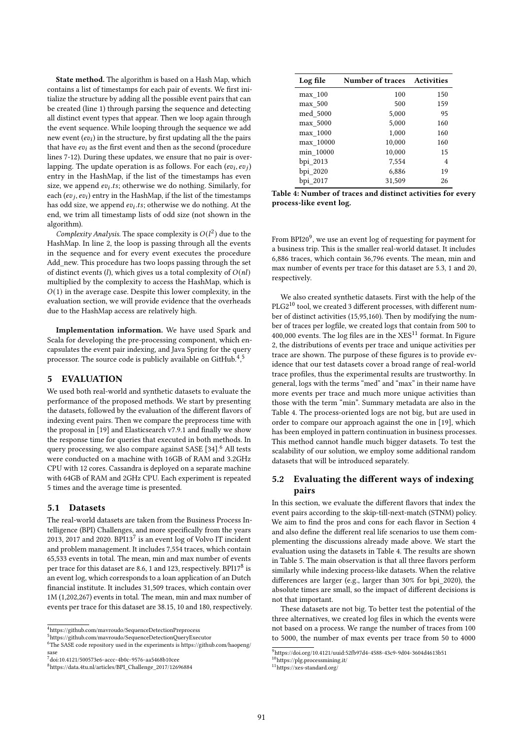State method. The algorithm is based on a Hash Map, which contains a list of timestamps for each pair of events. We first initialize the structure by adding all the possible event pairs that can be created (line 1) through parsing the sequence and detecting all distinct event types that appear. Then we loop again through the event sequence. While looping through the sequence we add new event  $\left(\overline{ev}_i\right)$  in the structure, by first updating all the the pairs that have  $ev_i$  as the first event and then as the second (procedure lines 7-12). During these updates, we ensure that no pair is overlapping. The update operation is as follows. For each  $(ev_i, ev_j)$ entry in the HashMap, if the list of the timestamps has even size, we append  $ev_i$ .ts; otherwise we do nothing. Similarly, for each  $(ev_i, ev_i)$  entry in the HashMap, if the list of the timestamps has odd size, we append  $ev_i.ts$ ; otherwise we do nothing. At the end, we trim all timestamp lists of odd size (not shown in the algorithm).

Complexity Analysis. The space complexity is  $O(l^2)$  due to the HashMap. In line 2, the loop is passing through all the events in the sequence and for every event executes the procedure Add\_new. This procedure has two loops passing through the set of distinct events (*l*), which gives us a total complexity of  $O(nl)$ multiplied by the complexity to access the HashMap, which is  $O(1)$  in the average case. Despite this lower complexity, in the evaluation section, we will provide evidence that the overheads due to the HashMap access are relatively high.

Implementation information. We have used Spark and Scala for developing the pre-processing component, which encapsulates the event pair indexing, and Java Spring for the query processor. The source code is publicly available on GitHub.<sup>4,5</sup>

# 5 EVALUATION

We used both real-world and synthetic datasets to evaluate the performance of the proposed methods. We start by presenting the datasets, followed by the evaluation of the different flavors of indexing event pairs. Then we compare the preprocess time with the proposal in [19] and Elasticsearch v7.9.1 and finally we show the response time for queries that executed in both methods. In query processing, we also compare against SASE [34].<sup>6</sup> All tests were conducted on a machine with 16GB of RAM and 3.2GHz CPU with 12 cores. Cassandra is deployed on a separate machine with 64GB of RAM and 2GHz CPU. Each experiment is repeated 5 times and the average time is presented.

### 5.1 Datasets

The real-world datasets are taken from the Business Process Intelligence (BPI) Challenges, and more specifically from the years 2013, 2017 and 2020. BPI13<sup>7</sup> is an event log of Volvo IT incident and problem management. It includes 7,554 traces, which contain 65,533 events in total. The mean, min and max number of events per trace for this dataset are 8.6, 1 and 123, respectively. BPI17<sup>8</sup> is an event log, which corresponds to a loan application of an Dutch financial institute. It includes 31,509 traces, which contain over 1M (1,202,267) events in total. The mean, min and max number of events per trace for this dataset are 38.15, 10 and 180, respectively.

| Log file  | <b>Number of traces</b> | <b>Activities</b> |  |
|-----------|-------------------------|-------------------|--|
| max 100   | 100                     | 150               |  |
| max 500   | 500                     | 159               |  |
| med 5000  | 5,000                   | 95                |  |
| max_5000  | 5,000                   | 160               |  |
| max 1000  | 1,000                   | 160               |  |
| max 10000 | 10,000                  | 160               |  |
| min 10000 | 10,000                  | 15                |  |
| bpi 2013  | 7,554                   | 4                 |  |
| bpi_2020  | 6,886                   | 19                |  |
| bpi 2017  | 31.509                  | 26                |  |

Table 4: Number of traces and distinct activities for every process-like event log.

From BPI20<sup>9</sup>, we use an event log of requesting for payment for a business trip. This is the smaller real-world dataset. It includes 6,886 traces, which contain 36,796 events. The mean, min and max number of events per trace for this dataset are 5.3, 1 and 20, respectively.

We also created synthetic datasets. First with the help of the PLG2<sup>10</sup> tool, we created 3 different processes, with different number of distinct activities (15,95,160). Then by modifying the number of traces per logfile, we created logs that contain from 500 to 400,000 events. The log files are in the  $XES<sup>11</sup>$  format. In Figure 2, the distributions of events per trace and unique activities per trace are shown. The purpose of these figures is to provide evidence that our test datasets cover a broad range of real-world trace profiles, thus the experimental results are trustworthy. In general, logs with the terms "med" and "max" in their name have more events per trace and much more unique activities than those with the term "min". Summary metadata are also in the Table 4. The process-oriented logs are not big, but are used in order to compare our approach against the one in [19], which has been employed in pattern continuation in business processes. This method cannot handle much bigger datasets. To test the scalability of our solution, we employ some additional random datasets that will be introduced separately.

# 5.2 Evaluating the different ways of indexing pairs

In this section, we evaluate the different flavors that index the event pairs according to the skip-till-next-match (STNM) policy. We aim to find the pros and cons for each flavor in Section 4 and also define the different real life scenarios to use them complementing the discussions already made above. We start the evaluation using the datasets in Table 4. The results are shown in Table 5. The main observation is that all three flavors perform similarly while indexing process-like datasets. When the relative differences are larger (e.g., larger than 30% for bpi\_2020), the absolute times are small, so the impact of different decisions is not that important.

These datasets are not big. To better test the potential of the three alternatives, we created log files in which the events were not based on a process. We range the number of traces from 100 to 5000, the number of max events per trace from 50 to 4000

<sup>4</sup>https://github.com/mavroudo/SequenceDetectionPreprocess

<sup>5</sup>https://github.com/mavroudo/SequenceDetectionQueryExecutor

<sup>6</sup>The SASE code repository used in the experiments is https://github.com/haopeng/ sase

 $\frac{7}{1}$ doi:10.4121/500573e6-accc-4b0c-9576-aa5468b10cee

<sup>8</sup>https://data.4tu.nl/articles/BPI\_Challenge\_2017/12696884

<sup>9</sup>https://doi.org/10.4121/uuid:52fb97d4-4588-43c9-9d04-3604d4613b51

<sup>10&</sup>lt;sub>https://plg.processmining.it/</sub>

 $11$  https://xes-standard.org/  $\,$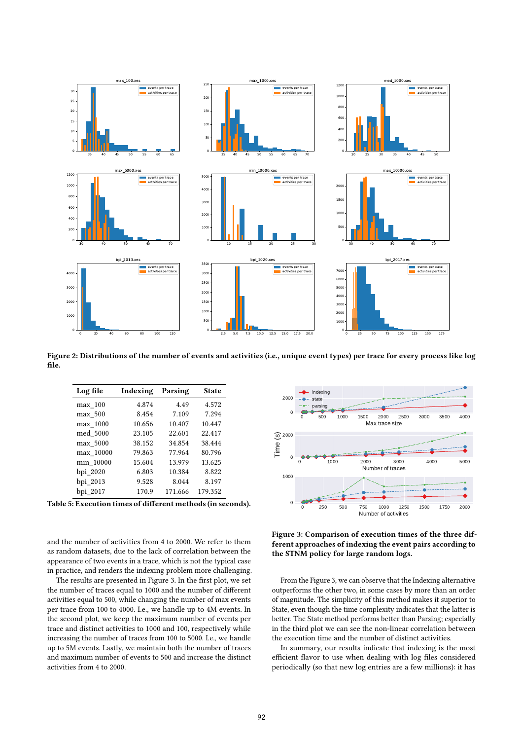

Figure 2: Distributions of the number of events and activities (i.e., unique event types) per trace for every process like log file.

| Log file  | Indexing | Parsing | <b>State</b> |
|-----------|----------|---------|--------------|
| max 100   | 4.874    | 4.49    | 4.572        |
| max 500   | 8.454    | 7.109   | 7.294        |
| max 1000  | 10.656   | 10.407  | 10.447       |
| med 5000  | 23.105   | 22.601  | 22.417       |
| max 5000  | 38.152   | 34.854  | 38.444       |
| max 10000 | 79.863   | 77.964  | 80.796       |
| min 10000 | 15.604   | 13.979  | 13.625       |
| bpi_2020  | 6.803    | 10.384  | 8.822        |
| bpi 2013  | 9.528    | 8.044   | 8.197        |
| bpi 2017  | 170.9    | 171.666 | 179.352      |

Table 5: Execution times of different methods (in seconds).

and the number of activities from 4 to 2000. We refer to them as random datasets, due to the lack of correlation between the appearance of two events in a trace, which is not the typical case in practice, and renders the indexing problem more challenging.

The results are presented in Figure 3. In the first plot, we set the number of traces equal to 1000 and the number of different activities equal to 500, while changing the number of max events per trace from 100 to 4000. I.e., we handle up to 4M events. In the second plot, we keep the maximum number of events per trace and distinct activities to 1000 and 100, respectively while increasing the number of traces from 100 to 5000. I.e., we handle up to 5M events. Lastly, we maintain both the number of traces and maximum number of events to 500 and increase the distinct activities from 4 to 2000.



Figure 3: Comparison of execution times of the three different approaches of indexing the event pairs according to the STNM policy for large random logs.

From the Figure 3, we can observe that the Indexing alternative outperforms the other two, in some cases by more than an order of magnitude. The simplicity of this method makes it superior to State, even though the time complexity indicates that the latter is better. The State method performs better than Parsing; especially in the third plot we can see the non-linear correlation between the execution time and the number of distinct activities.

In summary, our results indicate that indexing is the most efficient flavor to use when dealing with log files considered periodically (so that new log entries are a few millions): it has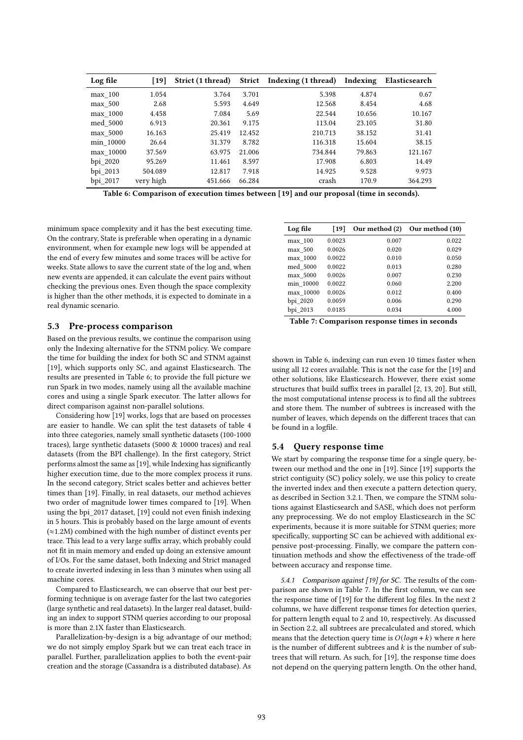| Log file  | [19]      | Strict (1 thread) |        | Strict Indexing (1 thread) | Indexing | Elasticsearch |
|-----------|-----------|-------------------|--------|----------------------------|----------|---------------|
| max 100   | 1.054     | 3.764             | 3.701  | 5.398                      | 4.874    | 0.67          |
| max 500   | 2.68      | 5.593             | 4.649  | 12.568                     | 8.454    | 4.68          |
| max 1000  | 4.458     | 7.084             | 5.69   | 22.544                     | 10.656   | 10.167        |
| med 5000  | 6.913     | 20.361            | 9.175  | 113.04                     | 23.105   | 31.80         |
| max 5000  | 16.163    | 25.419            | 12.452 | 210.713                    | 38.152   | 31.41         |
| min 10000 | 26.64     | 31.379            | 8.782  | 116.318                    | 15.604   | 38.15         |
| max_10000 | 37.569    | 63.975            | 21.006 | 734.844                    | 79.863   | 121.167       |
| bpi 2020  | 95.269    | 11.461            | 8.597  | 17.908                     | 6.803    | 14.49         |
| bpi 2013  | 504.089   | 12.817            | 7.918  | 14.925                     | 9.528    | 9.973         |
| bpi 2017  | very high | 451.666           | 66.284 | crash                      | 170.9    | 364.293       |

Table 6: Comparison of execution times between [19] and our proposal (time in seconds).

minimum space complexity and it has the best executing time. On the contrary, State is preferable when operating in a dynamic environment, when for example new logs will be appended at the end of every few minutes and some traces will be active for weeks. State allows to save the current state of the log and, when new events are appended, it can calculate the event pairs without checking the previous ones. Even though the space complexity is higher than the other methods, it is expected to dominate in a real dynamic scenario.

### 5.3 Pre-process comparison

Based on the previous results, we continue the comparison using only the Indexing alternative for the STNM policy. We compare the time for building the index for both SC and STNM against [19], which supports only SC, and against Elasticsearch. The results are presented in Table 6; to provide the full picture we run Spark in two modes, namely using all the available machine cores and using a single Spark executor. The latter allows for direct comparison against non-parallel solutions.

Considering how [19] works, logs that are based on processes are easier to handle. We can split the test datasets of table 4 into three categories, namely small synthetic datasets (100-1000 traces), large synthetic datasets (5000 & 10000 traces) and real datasets (from the BPI challenge). In the first category, Strict performs almost the same as [19], while Indexing has significantly higher execution time, due to the more complex process it runs. In the second category, Strict scales better and achieves better times than [19]. Finally, in real datasets, our method achieves two order of magnitude lower times compared to [19]. When using the bpi\_2017 dataset, [19] could not even finish indexing in 5 hours. This is probably based on the large amount of events (≈1.2M) combined with the high number of distinct events per trace. This lead to a very large suffix array, which probably could not fit in main memory and ended up doing an extensive amount of I/Os. For the same dataset, both Indexing and Strict managed to create inverted indexing in less than 3 minutes when using all machine cores.

Compared to Elasticsearch, we can observe that our best performing technique is on average faster for the last two categories (large synthetic and real datasets). In the larger real dataset, building an index to support STNM queries according to our proposal is more than 2.1X faster than Elasticsearch.

Parallelization-by-design is a big advantage of our method; we do not simply employ Spark but we can treat each trace in parallel. Further, parallelization applies to both the event-pair creation and the storage (Cassandra is a distributed database). As

| Log file  | [19]   | Our method (2) | Our method (10) |
|-----------|--------|----------------|-----------------|
| max 100   | 0.0023 | 0.007          | 0.022           |
| max 500   | 0.0026 | 0.020          | 0.029           |
| max 1000  | 0.0022 | 0.010          | 0.050           |
| med 5000  | 0.0022 | 0.013          | 0.280           |
| max 5000  | 0.0026 | 0.007          | 0.230           |
| min 10000 | 0.0022 | 0.060          | 2.200           |
| max 10000 | 0.0026 | 0.012          | 0.400           |
| bpi 2020  | 0.0059 | 0.006          | 0.290           |
| bpi 2013  | 0.0185 | 0.034          | 4.000           |

Table 7: Comparison response times in seconds

shown in Table 6, indexing can run even 10 times faster when using all 12 cores available. This is not the case for the [19] and other solutions, like Elasticsearch. However, there exist some structures that build suffix trees in parallel [2, 13, 20]. But still, the most computational intense process is to find all the subtrees and store them. The number of subtrees is increased with the number of leaves, which depends on the different traces that can be found in a logfile.

# 5.4 Query response time

We start by comparing the response time for a single query, between our method and the one in [19]. Since [19] supports the strict contiguity (SC) policy solely, we use this policy to create the inverted index and then execute a pattern detection query, as described in Section 3.2.1. Then, we compare the STNM solutions against Elasticsearch and SASE, which does not perform any preprocessing. We do not employ Elasticsearch in the SC experiments, because it is more suitable for STNM queries; more specifically, supporting SC can be achieved with additional expensive post-processing. Finally, we compare the pattern continuation methods and show the effectiveness of the trade-off between accuracy and response time.

5.4.1 Comparison against [19] for SC. The results of the comparison are shown in Table 7. In the first column, we can see the response time of [19] for the different log files. In the next 2 columns, we have different response times for detection queries, for pattern length equal to 2 and 10, respectively. As discussed in Section 2.2, all subtrees are precalculated and stored, which means that the detection query time is  $O(logn + k)$  where *n* here is the number of different subtrees and  $k$  is the number of subtrees that will return. As such, for [19], the response time does not depend on the querying pattern length. On the other hand,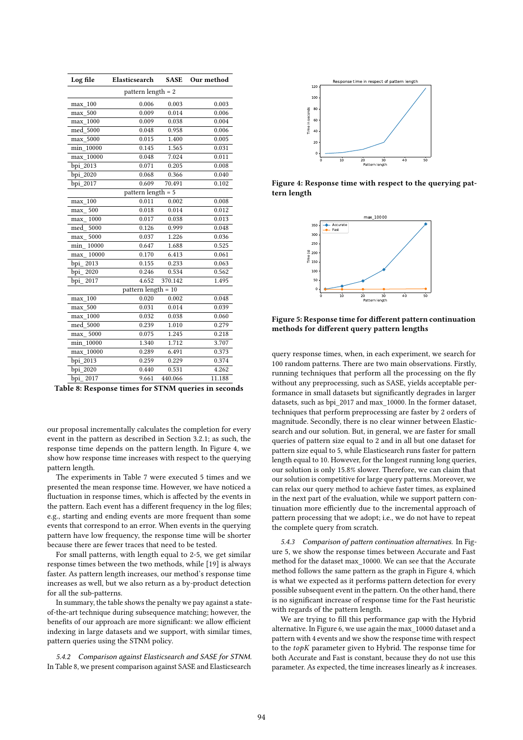| Log file             | Elasticsearch         | <b>SASE</b> | Our method |  |  |
|----------------------|-----------------------|-------------|------------|--|--|
| pattern length $= 2$ |                       |             |            |  |  |
| max 100              | 0.006                 | 0.003       | 0.003      |  |  |
| max 500              | 0.009                 | 0.014       | 0.006      |  |  |
| max 1000             | 0.009                 | 0.038       | 0.004      |  |  |
| 5000<br>med          | 0.048                 | 0.958       | 0.006      |  |  |
| 5000<br>max          | 0.015                 | 1.400       | 0.005      |  |  |
| min 10000            | 0.145                 | 1.565       | 0.031      |  |  |
| max 10000            | 0.048                 | 7.024       | 0.011      |  |  |
| bpi 2013             | 0.071                 | 0.205       | 0.008      |  |  |
| bpi_2020             | 0.068                 | 0.366       | 0.040      |  |  |
| bpi 2017             | 0.609                 | 70.491      | 0.102      |  |  |
|                      | pattern length = 5    |             |            |  |  |
| 100<br>max           | 0.011                 | 0.002       | 0.008      |  |  |
| 500<br>max           | 0.018                 | 0.014       | 0.012      |  |  |
| 1000<br>max          | 0.017                 | 0.038       | 0.013      |  |  |
| 5000<br>med          | 0.126                 | 0.999       | 0.048      |  |  |
| 5000<br>max          | 0.037                 | 1.226       | 0.036      |  |  |
| min<br>10000         | 0.647                 | 1.688       | 0.525      |  |  |
| 10000<br>max         | 0.170                 | 6.413       | 0.061      |  |  |
| bpi<br>2013          | 0.155                 | 0.233       | 0.063      |  |  |
| bpi<br>2020          | 0.246                 | 0.534       | 0.562      |  |  |
| bpi<br>2017          | 4.652                 | 370.142     | 1.495      |  |  |
|                      | pattern length $= 10$ |             |            |  |  |
| 100<br>max           | 0.020                 | 0.002       | 0.048      |  |  |
| 500<br>max           | 0.031                 | 0.014       | 0.039      |  |  |
| max 1000             | 0.032                 | 0.038       | 0.060      |  |  |
| 5000<br>med          | 0.239                 | 1.010       | 0.279      |  |  |
| 5000<br>max          | 0.075                 | 1.245       | 0.218      |  |  |
| 10000<br>min         | 1.340                 | 1.712       | 3.707      |  |  |
| max 10000            | 0.289                 | 6.491       | 0.373      |  |  |
| 2013<br>bpi          | 0.259                 | 0.229       | 0.374      |  |  |
| bpi 2020             | 0.440                 | 0.531       | 4.262      |  |  |
| bpi_2017             | 9.661                 | 440.066     | 11.188     |  |  |

Table 8: Response times for STNM queries in seconds

our proposal incrementally calculates the completion for every event in the pattern as described in Section 3.2.1; as such, the response time depends on the pattern length. In Figure 4, we show how response time increases with respect to the querying pattern length.

The experiments in Table 7 were executed 5 times and we presented the mean response time. However, we have noticed a fluctuation in response times, which is affected by the events in the pattern. Each event has a different frequency in the log files; e.g., starting and ending events are more frequent than some events that correspond to an error. When events in the querying pattern have low frequency, the response time will be shorter because there are fewer traces that need to be tested.

For small patterns, with length equal to 2-5, we get similar response times between the two methods, while [19] is always faster. As pattern length increases, our method's response time increases as well, but we also return as a by-product detection for all the sub-patterns.

In summary, the table shows the penalty we pay against a stateof-the-art technique during subsequence matching; however, the benefits of our approach are more significant: we allow efficient indexing in large datasets and we support, with similar times, pattern queries using the STNM policy.

5.4.2 Comparison against Elasticsearch and SASE for STNM. In Table 8, we present comparison against SASE and Elasticsearch



Figure 4: Response time with respect to the querying pattern length



Figure 5: Response time for different pattern continuation methods for different query pattern lengths

query response times, when, in each experiment, we search for 100 random patterns. There are two main observations. Firstly, running techniques that perform all the processing on the fly without any preprocessing, such as SASE, yields acceptable performance in small datasets but significantly degrades in larger datasets, such as bpi\_2017 and max\_10000. In the former dataset, techniques that perform preprocessing are faster by 2 orders of magnitude. Secondly, there is no clear winner between Elasticsearch and our solution. But, in general, we are faster for small queries of pattern size equal to 2 and in all but one dataset for pattern size equal to 5, while Elasticsearch runs faster for pattern length equal to 10. However, for the longest running long queries, our solution is only 15.8% slower. Therefore, we can claim that our solution is competitive for large query patterns. Moreover, we can relax our query method to achieve faster times, as explained in the next part of the evaluation, while we support pattern continuation more efficiently due to the incremental approach of pattern processing that we adopt; i.e., we do not have to repeat the complete query from scratch.

5.4.3 Comparison of pattern continuation alternatives. In Figure 5, we show the response times between Accurate and Fast method for the dataset max\_10000. We can see that the Accurate method follows the same pattern as the graph in Figure 4, which is what we expected as it performs pattern detection for every possible subsequent event in the pattern. On the other hand, there is no significant increase of response time for the Fast heuristic with regards of the pattern length.

We are trying to fill this performance gap with the Hybrid alternative. In Figure 6, we use again the max\_10000 dataset and a pattern with 4 events and we show the response time with respect to the  $topK$  parameter given to Hybrid. The response time for both Accurate and Fast is constant, because they do not use this parameter. As expected, the time increases linearly as  $k$  increases.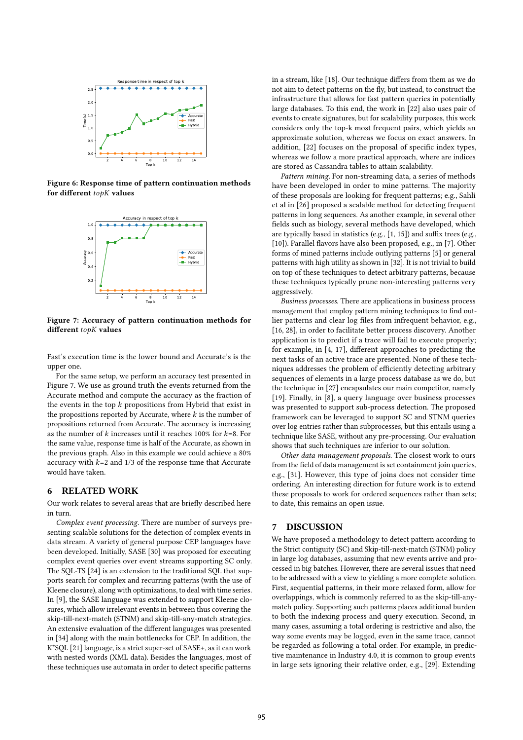

Figure 6: Response time of pattern continuation methods for different  $topK$  values



Figure 7: Accuracy of pattern continuation methods for different  $topK$  values

Fast's execution time is the lower bound and Accurate's is the upper one.

For the same setup, we perform an accuracy test presented in Figure 7. We use as ground truth the events returned from the Accurate method and compute the accuracy as the fraction of the events in the top  $k$  propositions from Hybrid that exist in the propositions reported by Accurate, where  $k$  is the number of propositions returned from Accurate. The accuracy is increasing as the number of  $k$  increases until it reaches 100% for  $k=8$ . For the same value, response time is half of the Accurate, as shown in the previous graph. Also in this example we could achieve a 80% accuracy with  $k=2$  and  $1/3$  of the response time that Accurate would have taken.

### 6 RELATED WORK

Our work relates to several areas that are briefly described here in turn.

Complex event processing. There are number of surveys presenting scalable solutions for the detection of complex events in data stream. A variety of general purpose CEP languages have been developed. Initially, SASE [30] was proposed for executing complex event queries over event streams supporting SC only. The SQL-TS [24] is an extension to the traditional SQL that supports search for complex and recurring patterns (with the use of Kleene closure), along with optimizations, to deal with time series. In [9], the SASE language was extended to support Kleene closures, which allow irrelevant events in between thus covering the skip-till-next-match (STNM) and skip-till-any-match strategies. An extensive evaluation of the different languages was presented in [34] along with the main bottlenecks for CEP. In addition, the K\*SQL [21] language, is a strict super-set of SASE+, as it can work with nested words (XML data). Besides the languages, most of these techniques use automata in order to detect specific patterns

in a stream, like [18]. Our technique differs from them as we do not aim to detect patterns on the fly, but instead, to construct the infrastructure that allows for fast pattern queries in potentially large databases. To this end, the work in [22] also uses pair of events to create signatures, but for scalability purposes, this work considers only the top-k most frequent pairs, which yields an approximate solution, whereas we focus on exact answers. In addition, [22] focuses on the proposal of specific index types, whereas we follow a more practical approach, where are indices are stored as Cassandra tables to attain scalability.

Pattern mining. For non-streaming data, a series of methods have been developed in order to mine patterns. The majority of these proposals are looking for frequent patterns; e.g., Sahli et al in [26] proposed a scalable method for detecting frequent patterns in long sequences. As another example, in several other fields such as biology, several methods have developed, which are typically based in statistics (e.g., [1, 15]) and suffix trees (e.g., [10]). Parallel flavors have also been proposed, e.g., in [7]. Other forms of mined patterns include outlying patterns [5] or general patterns with high utility as shown in [32]. It is not trivial to build on top of these techniques to detect arbitrary patterns, because these techniques typically prune non-interesting patterns very aggressively.

Business processes. There are applications in business process management that employ pattern mining techniques to find outlier patterns and clear log files from infrequent behavior, e.g., [16, 28], in order to facilitate better process discovery. Another application is to predict if a trace will fail to execute properly; for example, in [4, 17], different approaches to predicting the next tasks of an active trace are presented. None of these techniques addresses the problem of efficiently detecting arbitrary sequences of elements in a large process database as we do, but the technique in [27] encapsulates our main competitor, namely [19]. Finally, in [8], a query language over business processes was presented to support sub-process detection. The proposed framework can be leveraged to support SC and STNM queries over log entries rather than subprocesses, but this entails using a technique like SASE, without any pre-processing. Our evaluation shows that such techniques are inferior to our solution.

Other data management proposals. The closest work to ours from the field of data management is set containment join queries, e.g., [31]. However, this type of joins does not consider time ordering. An interesting direction for future work is to extend these proposals to work for ordered sequences rather than sets; to date, this remains an open issue.

### 7 DISCUSSION

We have proposed a methodology to detect pattern according to the Strict contiguity (SC) and Skip-till-next-match (STNM) policy in large log databases, assuming that new events arrive and processed in big batches. However, there are several issues that need to be addressed with a view to yielding a more complete solution. First, sequential patterns, in their more relaxed form, allow for overlappings, which is commonly referred to as the skip-till-anymatch policy. Supporting such patterns places additional burden to both the indexing process and query execution. Second, in many cases, assuming a total ordering is restrictive and also, the way some events may be logged, even in the same trace, cannot be regarded as following a total order. For example, in predictive maintenance in Industry 4.0, it is common to group events in large sets ignoring their relative order, e.g., [29]. Extending